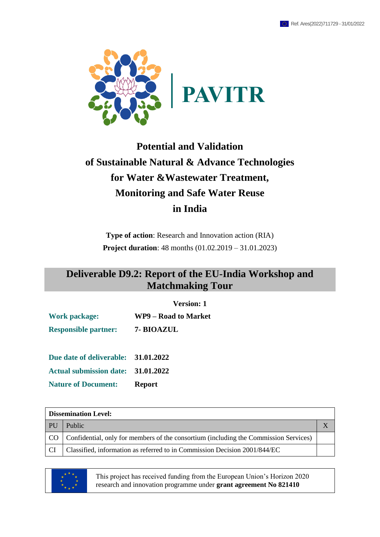

# **Potential and Validation of Sustainable Natural & Advance Technologies for Water &Wastewater Treatment, Monitoring and Safe Water Reuse in India**

**Type of action**: Research and Innovation action (RIA) **Project duration**: 48 months (01.02.2019 – 31.01.2023)

### **Deliverable D9.2: Report of the EU-India Workshop and Matchmaking Tour**

#### **Version: 1**

**Work package: WP9 – Road to Market**

**Responsible partner: 7- BIOAZUL**

**Due date of deliverable: 31.01.2022 Actual submission date: 31.01.2022 Nature of Document: Report**

**Dissemination Level:** PU Public X CO Confidential, only for members of the consortium (including the Commission Services)

CI Classified, information as referred to in Commission Decision 2001/844/EC



This project has received funding from the European Union's Horizon 2020 research and innovation programme under **grant agreement No 821410**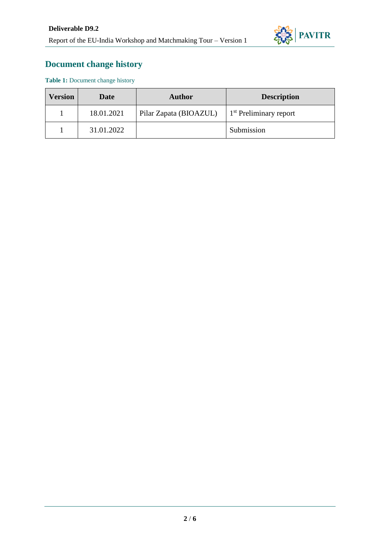

### **Document change history**

Table 1: Document change history

| <b>Version</b> | Date       | Author                 | <b>Description</b>                 |  |  |  |  |  |
|----------------|------------|------------------------|------------------------------------|--|--|--|--|--|
|                | 18.01.2021 | Pilar Zapata (BIOAZUL) | 1 <sup>st</sup> Preliminary report |  |  |  |  |  |
|                | 31.01.2022 |                        | Submission                         |  |  |  |  |  |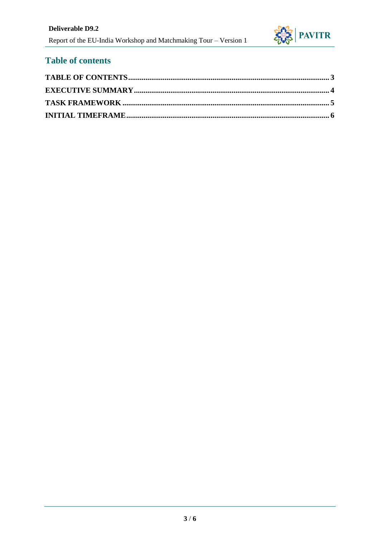

#### <span id="page-2-0"></span>**Table of contents**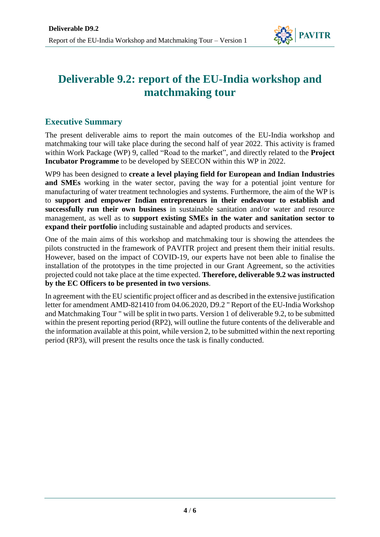

## **Deliverable 9.2: report of the EU-India workshop and matchmaking tour**

#### <span id="page-3-0"></span>**Executive Summary**

The present deliverable aims to report the main outcomes of the EU-India workshop and matchmaking tour will take place during the second half of year 2022. This activity is framed within Work Package (WP) 9, called "Road to the market", and directly related to the **Project Incubator Programme** to be developed by SEECON within this WP in 2022.

WP9 has been designed to **create a level playing field for European and Indian Industries and SMEs** working in the water sector, paving the way for a potential joint venture for manufacturing of water treatment technologies and systems. Furthermore, the aim of the WP is to **support and empower Indian entrepreneurs in their endeavour to establish and successfully run their own business** in sustainable sanitation and/or water and resource management, as well as to **support existing SMEs in the water and sanitation sector to expand their portfolio** including sustainable and adapted products and services.

One of the main aims of this workshop and matchmaking tour is showing the attendees the pilots constructed in the framework of PAVITR project and present them their initial results. However, based on the impact of COVID-19, our experts have not been able to finalise the installation of the prototypes in the time projected in our Grant Agreement, so the activities projected could not take place at the time expected. **Therefore, deliverable 9.2 was instructed by the EC Officers to be presented in two versions**.

In agreement with the EU scientific project officer and as described in the extensive justification letter for amendment AMD-821410 from 04.06.2020, D9.2 " Report of the EU-India Workshop and Matchmaking Tour " will be split in two parts. Version 1 of deliverable 9.2, to be submitted within the present reporting period (RP2), will outline the future contents of the deliverable and the information available at this point, while version 2, to be submitted within the next reporting period (RP3), will present the results once the task is finally conducted.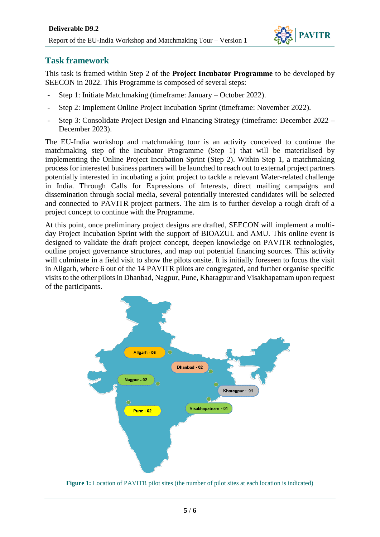

#### <span id="page-4-0"></span>**Task framework**

This task is framed within Step 2 of the **Project Incubator Programme** to be developed by SEECON in 2022. This Programme is composed of several steps:

- Step 1: Initiate Matchmaking (timeframe: January October 2022).
- Step 2: Implement Online Project Incubation Sprint (timeframe: November 2022).
- Step 3: Consolidate Project Design and Financing Strategy (timeframe: December 2022 December 2023).

The EU-India workshop and matchmaking tour is an activity conceived to continue the matchmaking step of the Incubator Programme (Step 1) that will be materialised by implementing the Online Project Incubation Sprint (Step 2). Within Step 1, a matchmaking process for interested business partners will be launched to reach out to external project partners potentially interested in incubating a joint project to tackle a relevant Water-related challenge in India. Through Calls for Expressions of Interests, direct mailing campaigns and dissemination through social media, several potentially interested candidates will be selected and connected to PAVITR project partners. The aim is to further develop a rough draft of a project concept to continue with the Programme.

At this point, once preliminary project designs are drafted, SEECON will implement a multiday Project Incubation Sprint with the support of BIOAZUL and AMU. This online event is designed to validate the draft project concept, deepen knowledge on PAVITR technologies, outline project governance structures, and map out potential financing sources. This activity will culminate in a field visit to show the pilots onsite. It is initially foreseen to focus the visit in Aligarh, where 6 out of the 14 PAVITR pilots are congregated, and further organise specific visits to the other pilots in Dhanbad, Nagpur, Pune, Kharagpur and Visakhapatnam upon request of the participants.